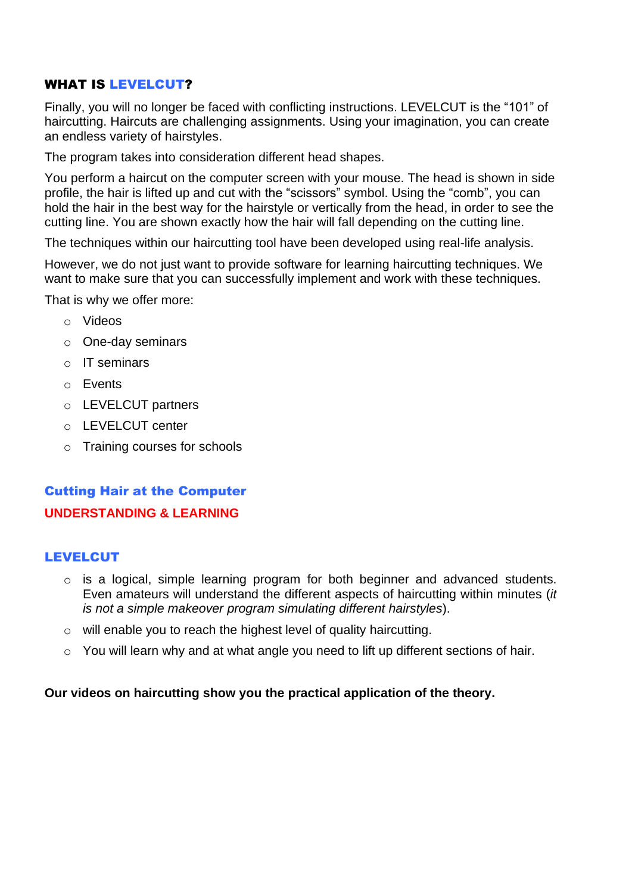# WHAT IS LEVELCUT?

Finally, you will no longer be faced with conflicting instructions. LEVELCUT is the "101" of haircutting. Haircuts are challenging assignments. Using your imagination, you can create an endless variety of hairstyles.

The program takes into consideration different head shapes.

You perform a haircut on the computer screen with your mouse. The head is shown in side profile, the hair is lifted up and cut with the "scissors" symbol. Using the "comb", you can hold the hair in the best way for the hairstyle or vertically from the head, in order to see the cutting line. You are shown exactly how the hair will fall depending on the cutting line.

The techniques within our haircutting tool have been developed using real-life analysis.

However, we do not just want to provide software for learning haircutting techniques. We want to make sure that you can successfully implement and work with these techniques.

That is why we offer more:

- o Videos
- o One-day seminars
- o IT seminars
- o Events
- o LEVELCUT partners
- $\circ$  LEVELCUT center
- o Training courses for schools

# Cutting Hair at the Computer **UNDERSTANDING & LEARNING**

# **LEVELCUT**

- o is a logical, simple learning program for both beginner and advanced students. Even amateurs will understand the different aspects of haircutting within minutes (*it is not a simple makeover program simulating different hairstyles*).
- o will enable you to reach the highest level of quality haircutting.
- o You will learn why and at what angle you need to lift up different sections of hair.

# **Our videos on haircutting show you the practical application of the theory.**